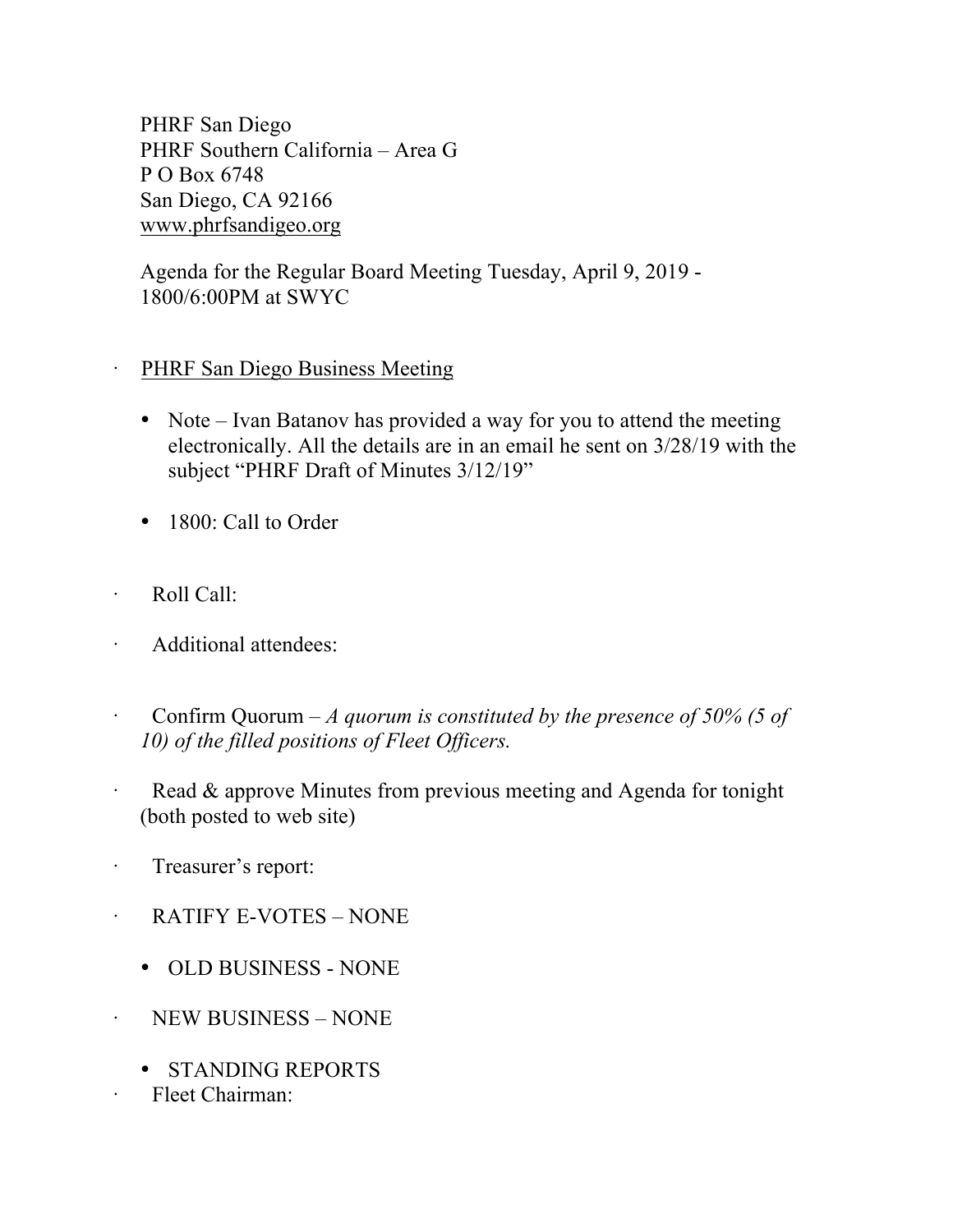PHRF San Diego PHRF Southern California – Area G P O Box 6748 San Diego, CA 92166 www.phrfsandigeo.org

Agenda for the Regular Board Meeting Tuesday, April 9, 2019 - 1800/6:00PM at SWYC

## PHRF San Diego Business Meeting

- Note Ivan Batanov has provided a way for you to attend the meeting electronically. All the details are in an email he sent on 3/28/19 with the subject "PHRF Draft of Minutes 3/12/19"
- 1800: Call to Order
- · Roll Call:
- Additional attendees:
- · Confirm Quorum *A quorum is constituted by the presence of 50% (5 of 10) of the filled positions of Fleet Officers.*
- Read & approve Minutes from previous meeting and Agenda for tonight (both posted to web site)
- · Treasurer's report:
- RATIFY E-VOTES NONE
	- OLD BUSINESS NONE
- · NEW BUSINESS NONE
	- STANDING REPORTS
- · Fleet Chairman: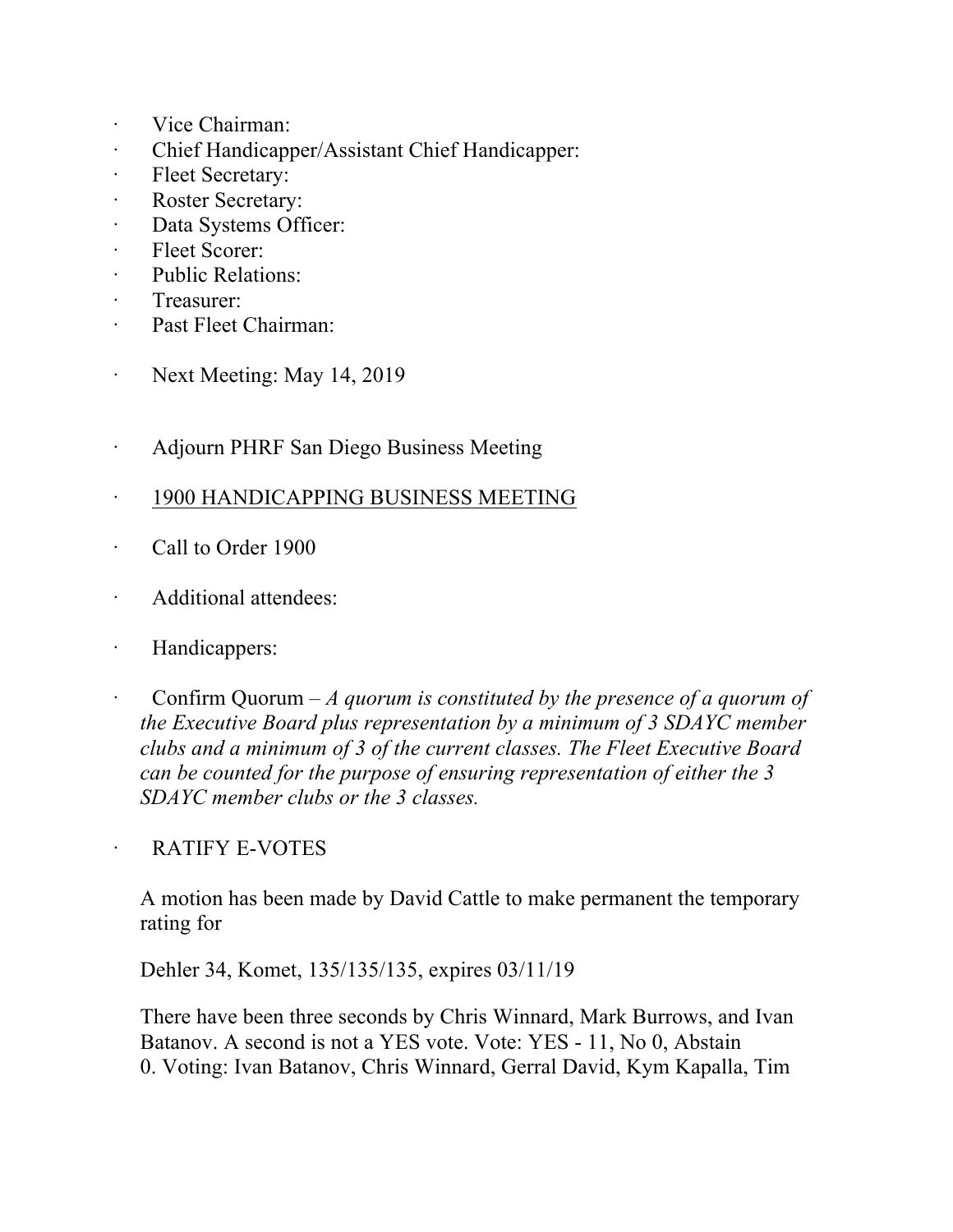- · Vice Chairman:
- · Chief Handicapper/Assistant Chief Handicapper:
- · Fleet Secretary:
- Roster Secretary:
- · Data Systems Officer:
- Fleet Scorer:
- · Public Relations:
- · Treasurer:
- · Past Fleet Chairman:
- · Next Meeting: May 14, 2019
- · Adjourn PHRF San Diego Business Meeting
- · 1900 HANDICAPPING BUSINESS MEETING
- · Call to Order 1900
- Additional attendees:
- · Handicappers:
- · Confirm Quorum *A quorum is constituted by the presence of a quorum of the Executive Board plus representation by a minimum of 3 SDAYC member clubs and a minimum of 3 of the current classes. The Fleet Executive Board can be counted for the purpose of ensuring representation of either the 3 SDAYC member clubs or the 3 classes.*

## RATIFY E-VOTES

A motion has been made by David Cattle to make permanent the temporary rating for

Dehler 34, Komet, 135/135/135, expires 03/11/19

There have been three seconds by Chris Winnard, Mark Burrows, and Ivan Batanov. A second is not a YES vote. Vote: YES - 11, No 0, Abstain 0. Voting: Ivan Batanov, Chris Winnard, Gerral David, Kym Kapalla, Tim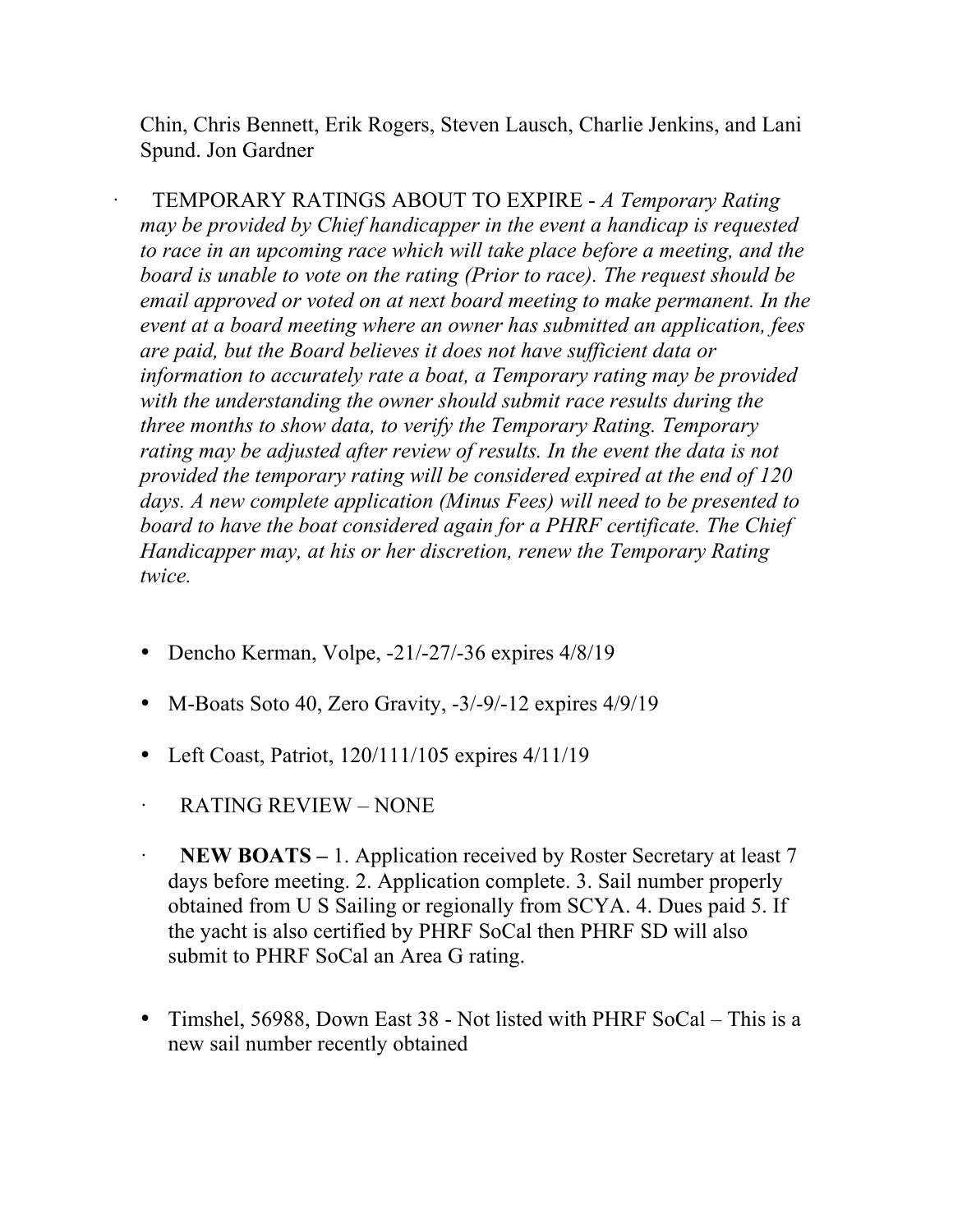Chin, Chris Bennett, Erik Rogers, Steven Lausch, Charlie Jenkins, and Lani Spund. Jon Gardner

· TEMPORARY RATINGS ABOUT TO EXPIRE - *A Temporary Rating may be provided by Chief handicapper in the event a handicap is requested to race in an upcoming race which will take place before a meeting, and the board is unable to vote on the rating (Prior to race). The request should be email approved or voted on at next board meeting to make permanent. In the event at a board meeting where an owner has submitted an application, fees are paid, but the Board believes it does not have sufficient data or information to accurately rate a boat, a Temporary rating may be provided with the understanding the owner should submit race results during the three months to show data, to verify the Temporary Rating. Temporary*  rating may be adjusted after review of results. In the event the data is not *provided the temporary rating will be considered expired at the end of 120 days. A new complete application (Minus Fees) will need to be presented to board to have the boat considered again for a PHRF certificate. The Chief Handicapper may, at his or her discretion, renew the Temporary Rating twice.*

- Dencho Kerman, Volpe, -21/-27/-36 expires 4/8/19
- M-Boats Soto 40, Zero Gravity, -3/-9/-12 expires 4/9/19
- Left Coast, Patriot, 120/111/105 expires 4/11/19
- · RATING REVIEW NONE
- **NEW BOATS** 1. Application received by Roster Secretary at least 7 days before meeting. 2. Application complete. 3. Sail number properly obtained from U S Sailing or regionally from SCYA. 4. Dues paid 5. If the yacht is also certified by PHRF SoCal then PHRF SD will also submit to PHRF SoCal an Area G rating.
- Timshel, 56988, Down East 38 Not listed with PHRF SoCal This is a new sail number recently obtained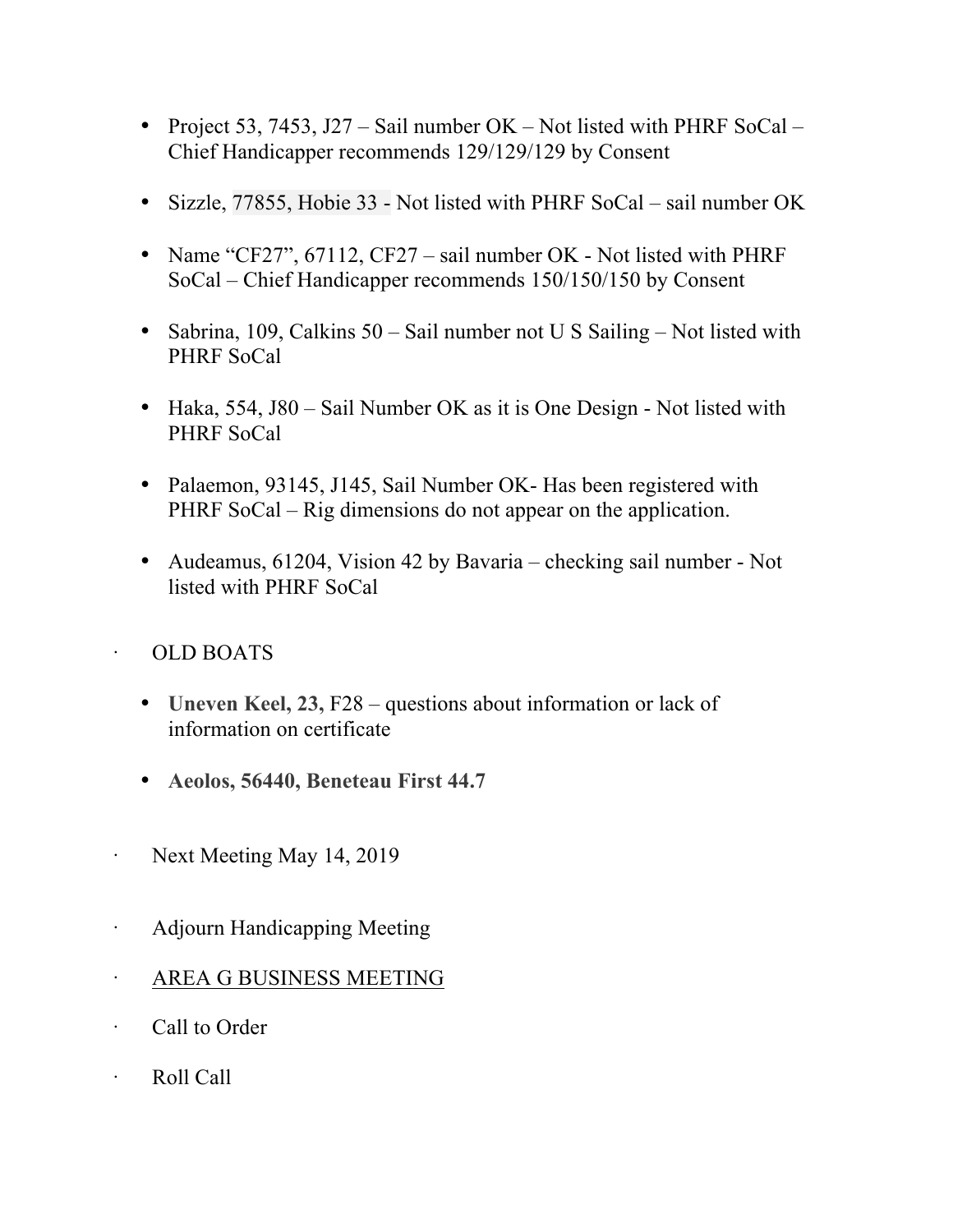- Project 53, 7453, J27 Sail number OK Not listed with PHRF SoCal Chief Handicapper recommends 129/129/129 by Consent
- Sizzle, 77855, Hobie 33 Not listed with PHRF SoCal sail number OK
- Name "CF27", 67112, CF27 sail number OK Not listed with PHRF SoCal – Chief Handicapper recommends 150/150/150 by Consent
- Sabrina, 109, Calkins 50 Sail number not U S Sailing Not listed with PHRF SoCal
- Haka, 554, J80 Sail Number OK as it is One Design Not listed with PHRF SoCal
- Palaemon, 93145, J145, Sail Number OK- Has been registered with PHRF SoCal – Rig dimensions do not appear on the application.
- Audeamus, 61204, Vision 42 by Bavaria checking sail number Not listed with PHRF SoCal

## · OLD BOATS

- **Uneven Keel, 23, F28** questions about information or lack of information on certificate
- **Aeolos, 56440, Beneteau First 44.7**
- Next Meeting May 14, 2019
- · Adjourn Handicapping Meeting
- · AREA G BUSINESS MEETING
- · Call to Order
- · Roll Call